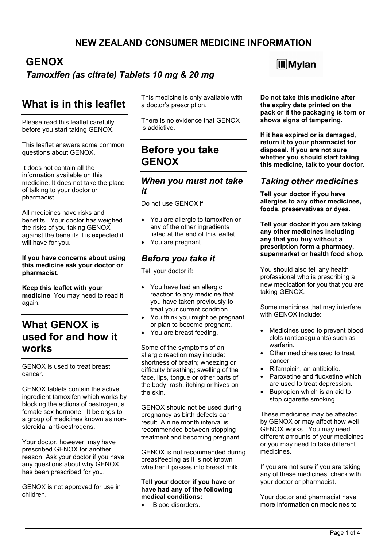### **NEW ZEALAND CONSUMER MEDICINE INFORMATION**

## **GENOX**

#### *Tamoxifen (as citrate) Tablets 10 mg & 20 mg*

## **What is in this leaflet**

Please read this leaflet carefully before you start taking GENOX.

This leaflet answers some common questions about GENOX.

It does not contain all the information available on this medicine. It does not take the place of talking to your doctor or pharmacist.

All medicines have risks and benefits. Your doctor has weighed the risks of you taking GENOX against the benefits it is expected it will have for you.

**If you have concerns about using this medicine ask your doctor or pharmacist.**

**Keep this leaflet with your medicine**. You may need to read it again.

## **What GENOX is used for and how it works**

GENOX is used to treat breast cancer.

GENOX tablets contain the active ingredient tamoxifen which works by blocking the actions of oestrogen, a female sex hormone. It belongs to a group of medicines known as nonsteroidal anti-oestrogens.

Your doctor, however, may have prescribed GENOX for another reason. Ask your doctor if you have any questions about why GENOX has been prescribed for you.

GENOX is not approved for use in children.

This medicine is only available with a doctor's prescription.

There is no evidence that GENOX is addictive.

## **Before you take GENOX**

#### *When you must not take it*

Do not use GENOX if:

- You are allergic to tamoxifen or any of the other ingredients listed at the end of this leaflet.
- You are pregnant.

#### *Before you take it*

Tell your doctor if:

- You have had an allergic reaction to any medicine that you have taken previously to treat your current condition.
- You think you might be pregnant or plan to become pregnant.
- You are breast feeding.

Some of the symptoms of an allergic reaction may include: shortness of breath; wheezing or difficulty breathing; swelling of the face, lips, tongue or other parts of the body; rash, itching or hives on the skin.

GENOX should not be used during pregnancy as birth defects can result. A nine month interval is recommended between stopping treatment and becoming pregnant.

GENOX is not recommended during breastfeeding as it is not known whether it passes into breast milk.

#### **Tell your doctor if you have or have had any of the following medical conditions:**

Blood disorders.

## **M**Wlan

**Do not take this medicine after the expiry date printed on the pack or if the packaging is torn or shows signs of tampering.**

**If it has expired or is damaged, return it to your pharmacist for disposal. If you are not sure whether you should start taking this medicine, talk to your doctor.**

#### *Taking other medicines*

**Tell your doctor if you have allergies to any other medicines, foods, preservatives or dyes.**

**Tell your doctor if you are taking any other medicines including any that you buy without a prescription form a pharmacy, supermarket or health food shop.**

You should also tell any health professional who is prescribing a new medication for you that you are taking GENOX.

Some medicines that may interfere with GENOX include:

- Medicines used to prevent blood clots (anticoagulants) such as warfarin.
- Other medicines used to treat cancer.
- Rifampicin, an antibiotic.
- Paroxetine and fluoxetine which are used to treat depression.
- Bupropion which is an aid to stop cigarette smoking.

These medicines may be affected by GENOX or may affect how well GENOX works. You may need different amounts of your medicines or you may need to take different medicines.

If you are not sure if you are taking any of these medicines, check with your doctor or pharmacist.

Your doctor and pharmacist have more information on medicines to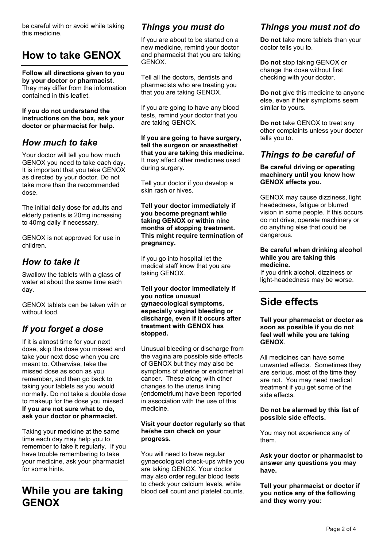be careful with or avoid while taking this medicine.

# **How to take GENOX**

#### **Follow all directions given to you by your doctor or pharmacist.**

They may differ from the information contained in this leaflet.

**If you do not understand the instructions on the box, ask your doctor or pharmacist for help.**

#### *How much to take*

Your doctor will tell you how much GENOX you need to take each day. It is important that you take GENOX as directed by your doctor. Do not take more than the recommended dose.

The initial daily dose for adults and elderly patients is 20mg increasing to 40mg daily if necessary.

GENOX is not approved for use in children.

### *How to take it*

Swallow the tablets with a glass of water at about the same time each day.

GENOX tablets can be taken with or without food.

## *If you forget a dose*

If it is almost time for your next dose, skip the dose you missed and take your next dose when you are meant to. Otherwise, take the missed dose as soon as you remember, and then go back to taking your tablets as you would normally. Do not take a double dose to makeup for the dose you missed. **If you are not sure what to do, ask your doctor or pharmacist.**

Taking your medicine at the same time each day may help you to remember to take it regularly. If you have trouble remembering to take your medicine, ask your pharmacist for some hints.

# **While you are taking GENOX**

### *Things you must do*

If you are about to be started on a new medicine, remind your doctor and pharmacist that you are taking GENOX.

Tell all the doctors, dentists and pharmacists who are treating you that you are taking GENOX.

If you are going to have any blood tests, remind your doctor that you are taking GENOX.

**If you are going to have surgery, tell the surgeon or anaesthetist that you are taking this medicine.** It may affect other medicines used during surgery.

Tell your doctor if you develop a skin rash or hives.

#### **Tell your doctor immediately if you become pregnant while taking GENOX or within nine months of stopping treatment. This might require termination of pregnancy.**

If you go into hospital let the medical staff know that you are taking GENOX.

**Tell your doctor immediately if you notice unusual gynaecological symptoms, especially vaginal bleeding or discharge, even if it occurs after treatment with GENOX has stopped.**

Unusual bleeding or discharge from the vagina are possible side effects of GENOX but they may also be symptoms of uterine or endometrial cancer. These along with other changes to the uterus lining (endometrium) have been reported in association with the use of this medicine.

#### **Visit your doctor regularly so that he/she can check on your progress.**

You will need to have regular gynaecological check-ups while you are taking GENOX. Your doctor may also order regular blood tests to check your calcium levels, white blood cell count and platelet counts.

### *Things you must not do*

**Do not** take more tablets than your doctor tells you to.

**Do not** stop taking GENOX or change the dose without first checking with your doctor.

**Do not** give this medicine to anyone else, even if their symptoms seem similar to yours.

**Do not** take GENOX to treat any other complaints unless your doctor tells you to.

### *Things to be careful of*

**Be careful driving or operating machinery until you know how GENOX affects you.**

GENOX may cause dizziness, light headedness, fatigue or blurred vision in some people. If this occurs do not drive, operate machinery or do anything else that could be dangerous.

#### **Be careful when drinking alcohol while you are taking this medicine.**

If you drink alcohol, dizziness or light-headedness may be worse.

## **Side effects**

#### **Tell your pharmacist or doctor as soon as possible if you do not feel well while you are taking GENOX**.

All medicines can have some unwanted effects. Sometimes they are serious, most of the time they are not. You may need medical treatment if you get some of the side effects.

#### **Do not be alarmed by this list of possible side effects.**

You may not experience any of them.

**Ask your doctor or pharmacist to answer any questions you may have.**

**Tell your pharmacist or doctor if you notice any of the following and they worry you:**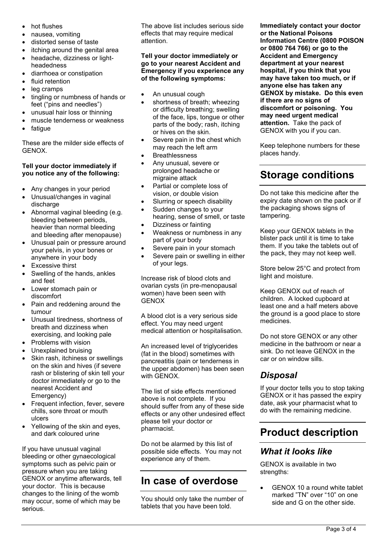- hot flushes
- nausea, vomiting
- distorted sense of taste
- itching around the genital area
- headache, dizziness or lightheadedness
- diarrhoea or constipation
- fluid retention
- leg cramps
- tingling or numbness of hands or feet ("pins and needles")
- unusual hair loss or thinning
- muscle tenderness or weakness
- fatigue

These are the milder side effects of GENOX.

#### **Tell your doctor immediately if you notice any of the following:**

- Any changes in your period
- Unusual/changes in vaginal discharge
- Abnormal vaginal bleeding (e.g. bleeding between periods, heavier than normal bleeding and bleeding after menopause)
- Unusual pain or pressure around your pelvis, in your bones or anywhere in your body
- Excessive thirst
- Swelling of the hands, ankles and feet
- Lower stomach pain or discomfort
- Pain and reddening around the tumour
- Unusual tiredness, shortness of breath and dizziness when exercising, and looking pale
- Problems with vision
- Unexplained bruising
- Skin rash, itchiness or swellings on the skin and hives (if severe rash or blistering of skin tell your doctor immediately or go to the nearest Accident and Emergency)
- Frequent infection, fever, severe chills, sore throat or mouth ulcers
- Yellowing of the skin and eyes, and dark coloured urine

If you have unusual vaginal bleeding or other gynaecological symptoms such as pelvic pain or pressure when you are taking GENOX or anytime afterwards, tell your doctor. This is because changes to the lining of the womb may occur, some of which may be serious.

The above list includes serious side effects that may require medical attention.

#### **Tell your doctor immediately or go to your nearest Accident and Emergency if you experience any of the following symptoms:**

- An unusual cough
- shortness of breath; wheezing or difficulty breathing; swelling of the face, lips, tongue or other parts of the body; rash, itching or hives on the skin.
- Severe pain in the chest which may reach the left arm
- Breathlessness
- Any unusual, severe or prolonged headache or migraine attack
- Partial or complete loss of vision, or double vision
- Slurring or speech disability
- Sudden changes to your hearing, sense of smell, or taste
- Dizziness or fainting
- Weakness or numbness in any part of your body
- Severe pain in your stomach
- Severe pain or swelling in either of your legs.

Increase risk of blood clots and ovarian cysts (in pre-menopausal women) have been seen with **GENOX** 

A blood clot is a very serious side effect. You may need urgent medical attention or hospitalisation.

An increased level of triglycerides (fat in the blood) sometimes with pancreatitis (pain or tenderness in the upper abdomen) has been seen with GENOX.

The list of side effects mentioned above is not complete. If you should suffer from any of these side effects or any other undesired effect please tell your doctor or pharmacist.

Do not be alarmed by this list of possible side effects. You may not experience any of them.

# **In case of overdose**

You should only take the number of tablets that you have been told.

**Immediately contact your doctor or the National Poisons Information Centre (0800 POISON or 0800 764 766) or go to the Accident and Emergency department at your nearest hospital, if you think that you may have taken too much, or if anyone else has taken any GENOX by mistake. Do this even if there are no signs of discomfort or poisoning. You may need urgent medical attention.** Take the pack of GENOX with you if you can.

Keep telephone numbers for these places handy.

# **Storage conditions**

Do not take this medicine after the expiry date shown on the pack or if the packaging shows signs of tampering.

Keep your GENOX tablets in the blister pack until it is time to take them. If you take the tablets out of the pack, they may not keep well.

Store below 25°C and protect from light and moisture.

Keep GENOX out of reach of children. A locked cupboard at least one and a half meters above the ground is a good place to store medicines.

Do not store GENOX or any other medicine in the bathroom or near a sink. Do not leave GENOX in the car or on window sills.

## *Disposal*

If your doctor tells you to stop taking GENOX or it has passed the expiry date, ask your pharmacist what to do with the remaining medicine.

# **Product description**

### *What it looks like*

GENOX is available in two strengths:

 GENOX 10 a round white tablet marked "TN" over "10" on one side and G on the other side.